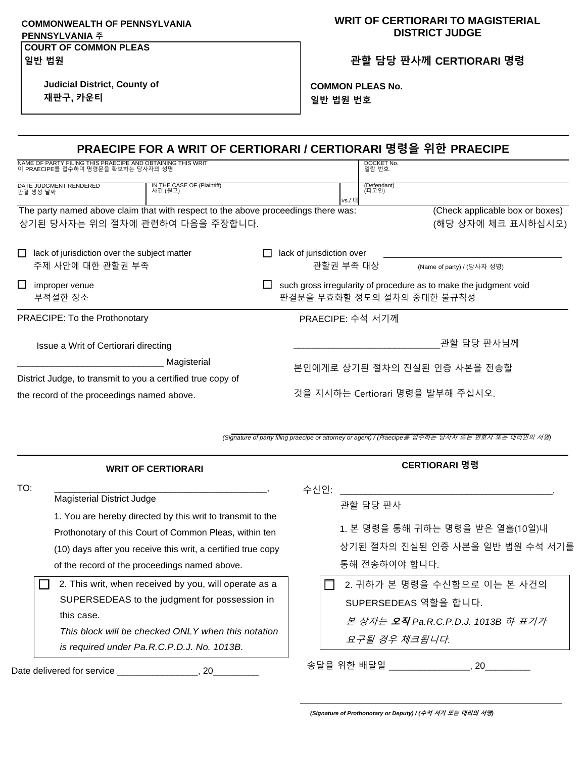## **COMMONWEALTH OF PENNSYLVANIA PENNSYLVANIA 주 COURT OF COMMON PLEAS**

## **WRIT OF CERTIORARI TO MAGISTERIAL DISTRICT JUDGE**

**관할 담당 판사께 CERTIORARI 명령**

**Judicial District, County of**

**재판구, 카운티**

**일반 법원**

**COMMON PLEAS No. 일반 법원 번호**

| PRAECIPE FOR A WRIT OF CERTIORARI / CERTIORARI 명령을 위한 PRAECIPE                                   |                                        |                                                                   |  |
|--------------------------------------------------------------------------------------------------|----------------------------------------|-------------------------------------------------------------------|--|
| NAME OF PARTY FILING THIS PRAECIPE AND OBTAINING THIS WRIT<br>이 PRAECIPE를 접수하며 명령문을 확보하는 당사자의 성명 | DOCKET No.<br>일람 변호.                   |                                                                   |  |
| IN THE CASE OF (Plaintiff)<br>사건 (원고)<br>DATE JUDGMENT RENDERED<br>판결 생성 날짜                      | (Defendant)<br>(피고인)<br>vs./ 대         |                                                                   |  |
| The party named above claim that with respect to the above proceedings there was:                |                                        | (Check applicable box or boxes)                                   |  |
| 상기된 당사자는 위의 절차에 관련하여 다음을 주장합니다.                                                                  |                                        | (해당 상자에 체크 표시하십시오)                                                |  |
| lack of jurisdiction over the subject matter<br>주제 사안에 대한 관할권 부족                                 | lack of jurisdiction over<br>관할권 부족 대상 | (Name of party) / (당사자 성명)                                        |  |
|                                                                                                  |                                        |                                                                   |  |
| improper venue                                                                                   |                                        | such gross irregularity of procedure as to make the judgment void |  |
| 부적절한 장소                                                                                          | 판결문을 무효화할 정도의 절차의 중대한 불규칙성             |                                                                   |  |
| <b>PRAECIPE: To the Prothonotary</b>                                                             | PRAECIPE: 수석 서기께                       |                                                                   |  |
| Issue a Writ of Certiorari directing                                                             |                                        | 관할 담당 판사님께                                                        |  |
| Magisterial                                                                                      |                                        |                                                                   |  |
| District Judge, to transmit to you a certified true copy of                                      |                                        | 본인에게로 상기된 절차의 진실된 인증 사본을 전송할                                      |  |

**\_\_\_\_\_\_\_\_\_\_\_\_\_\_\_\_\_\_\_\_\_\_\_\_\_\_\_\_\_\_\_\_\_\_\_\_\_\_\_\_\_\_\_\_\_\_\_\_\_\_\_\_\_\_\_\_\_\_\_** *(Signature of party filing praecipe or attorney or agent) / (*P*raecipe*를 접수하는 당사자 또는 변호사 또는 대리인의 서명*)*

| <b>WRIT OF CERTIORARI</b>                                                                                                                                                                                                                                                         | CERTIORARI 명령                                                                                              |
|-----------------------------------------------------------------------------------------------------------------------------------------------------------------------------------------------------------------------------------------------------------------------------------|------------------------------------------------------------------------------------------------------------|
| TO:<br><b>Magisterial District Judge</b><br>1. You are hereby directed by this writ to transmit to the<br>Prothonotary of this Court of Common Pleas, within ten<br>(10) days after you receive this writ, a certified true copy<br>of the record of the proceedings named above. | 수신인:<br>관할 담당 판사<br>1. 본 명령을 통해 귀하는 명령을 받은 열흘(10일)내<br>상기된 절차의 진실된 인증 사본을 일반 법원 수석 서기를<br>통해 전송하여야 합니다.    |
| 2. This writ, when received by you, will operate as a<br>SUPERSEDEAS to the judgment for possession in<br>this case.<br>This block will be checked ONLY when this notation<br>is required under Pa.R.C.P.D.J. No. 1013B.                                                          | 2. 귀하가 본 명령을 수신함으로 이는 본 사건의<br>SUPERSEDEAS 역할을 합니다.<br>본 상자는 오직 Pa.R.C.P.D.J. 1013B 하 표기가<br>요구될 경우 체크됩니다. |
| Date delivered for service<br>20                                                                                                                                                                                                                                                  | 송달을 위한 배달일<br>20                                                                                           |

*(Signature of Prothonotary or Deputy) / (***수석 서기 또는 대리의 서명***)*